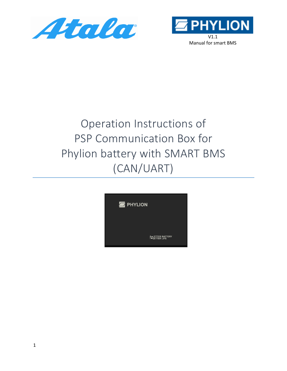



# Operation Instructions of PSP Communication Box for Phylion battery with SMART BMS (CAN/UART)

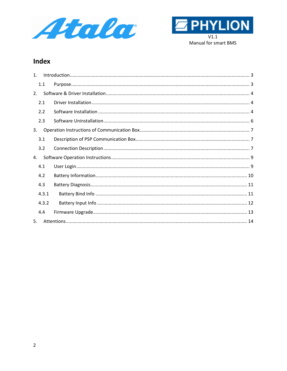



### **Index**

| $\mathbf{1}$ . |       |  |
|----------------|-------|--|
|                | 1.1   |  |
| 2.             |       |  |
|                | 2.1   |  |
|                | 2.2   |  |
|                | 2.3   |  |
| 3.             |       |  |
|                | 3.1   |  |
|                | 3.2   |  |
| 4.             |       |  |
|                | 4.1   |  |
|                | 4.2   |  |
|                | 4.3   |  |
|                | 4.3.1 |  |
|                | 4.3.2 |  |
|                | 4.4   |  |
| 5.             |       |  |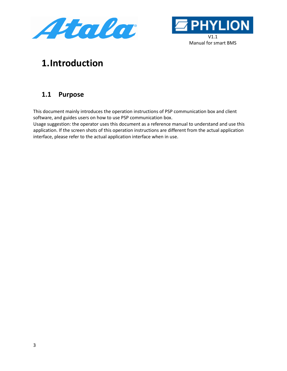



# <span id="page-2-0"></span>**1.Introduction**

## <span id="page-2-1"></span>**1.1 Purpose**

This document mainly introduces the operation instructions of PSP communication box and client software, and guides users on how to use PSP communication box.

Usage suggestion: the operator uses this document as a reference manual to understand and use this application. If the screen shots of this operation instructions are different from the actual application interface, please refer to the actual application interface when in use.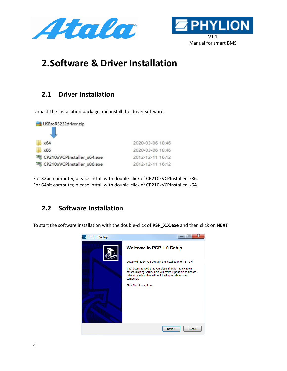



# <span id="page-3-0"></span>**2.Software & Driver Installation**

## <span id="page-3-1"></span>**2.1 Driver Installation**

Unpack the installation package and install the driver software.



For 32bit computer, please install with double-click of CP210xVCPInstaller\_x86. For 64bit computer, please install with double-click of CP210xVCPInstaller\_x64.

## <span id="page-3-2"></span>**2.2 Software Installation**

To start the software installation with the double-click of **PSP\_X.X.exe** and then click on **NEXT**

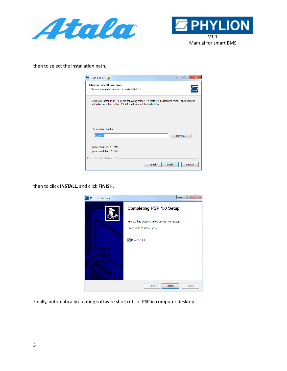



then to select the installation path,

| PSP 1.0 Setup                                                                                                                                                             |                   |
|---------------------------------------------------------------------------------------------------------------------------------------------------------------------------|-------------------|
| <b>Choose Install Location</b><br>Choose the folder in which to install PSP 1.0.                                                                                          |                   |
| Setup will install PSP 1.0 in the following folder. To install in a different folder, click Browse<br>and select another folder. Click Install to start the installation. |                   |
| <b>Destination Folder</b><br>C:\PSP\                                                                                                                                      | Browse            |
| Space required: 11.2MB<br>Space available: 70.5GB<br>Nullsoft Install System v3.0 -                                                                                       |                   |
| $<$ Back                                                                                                                                                                  | Install<br>Cancel |

then to click **INSTALL**, and click **FINISH**.



Finally, automatically creating software shortcuts of PSP in computer desktop.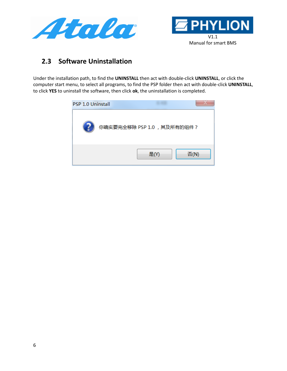



### <span id="page-5-0"></span>**2.3 Software Uninstallation**

Under the installation path, to find the **UNINSTALL** then act with double-click **UNINSTALL**, or click the computer start menu, to select all programs, to find the PSP folder then act with double-click **UNINSTALL**, to click **YES** to uninstall the software, then click **ok**, the uninstallation is completed.

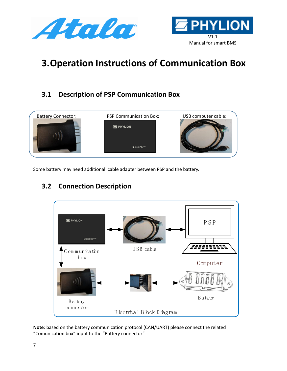



# <span id="page-6-0"></span>**3.Operation Instructions of Communication Box**

# <span id="page-6-1"></span>**3.1 Description of PSP Communication Box**



Some battery may need additional cable adapter between PSP and the battery.

# <span id="page-6-2"></span>**3.2 Connection Description**



**Note**: based on the battery communication protocol (CAN/UART) please connect the related "Comunication box" input to the "Battery connector".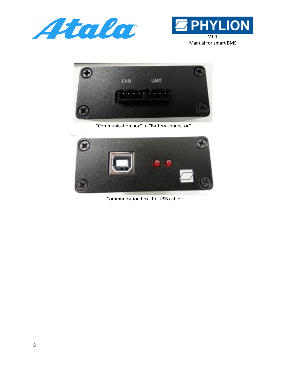





"Communication box" to "Battery connector"



"Communication box" to "USB cable"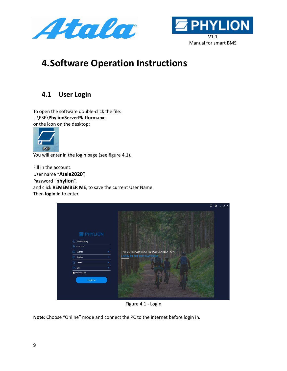



# <span id="page-8-0"></span>**4.Software Operation Instructions**

# <span id="page-8-1"></span>**4.1 User Login**

To open the software double-click the file: …\PSP\**PhylionServerPlatform.exe** or the icon on the desktop:



You will enter in the login page (see figure 4.1).

Fill in the account: User name "**Atala2020**", Password "**phylion**", and click **REMEMBER ME**, to save the current User Name. Then **login in** to enter.

|                                                                                     | $\circ$                             | $\circ$ | $-$ 0 $\times$ |  |
|-------------------------------------------------------------------------------------|-------------------------------------|---------|----------------|--|
| <b>E</b> PHYLION<br>(8)<br>PhylionBattery<br><b>A</b> Password<br>fml<br>COM11<br>۰ | THE CORE POWER OF EV POPULARIZATION |         |                |  |
| ⊕<br>English                                                                        | LOGIN IN THE PSP PLATFORM           |         |                |  |
| ⊜<br>Online                                                                         |                                     |         |                |  |
| 8ike                                                                                |                                     |         |                |  |
| Remember me                                                                         |                                     |         |                |  |
| Login in                                                                            |                                     |         |                |  |

Figure 4.1 - Login

**Note**: Choose "Online" mode and connect the PC to the internet before login in.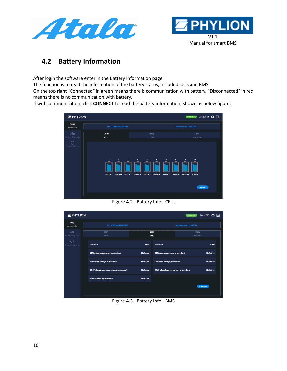



### <span id="page-9-0"></span>**4.2 Battery Information**

After login the software enter in the Battery Information page.

The function is to read the information of the battery status, included cells and BMS.

On the top right "Connected" in green means there is communication with battery, "Disconnected" in red means there is no communication with battery.

If with communication, click **CONNECT** to read the battery information, shown as below figure:



Figure 4.2 - Battery Info - CELL

| <b>E</b> PHYLION                       |                                                  |                   |                                               | Atala2020<br>Connected                      | B |
|----------------------------------------|--------------------------------------------------|-------------------|-----------------------------------------------|---------------------------------------------|---|
| $\overline{nm}$<br><b>Battery Info</b> | SN: AUEBG4AS04F0466                              |                   |                                               | <b>Manufacture: PHYLION</b>                 |   |
| 灬<br><b>Battery Diagnosis</b>          | $\overline{mm}$<br>CELL                          | (m)<br><b>BMS</b> |                                               | $\overline{\mathfrak{m}}$<br><b>BATTERY</b> |   |
| $\mathcal{C}$<br>Firmware Update       | <b>Firmware</b>                                  | <b>V144</b>       | <b>Hardware</b>                               | <b>V100</b>                                 |   |
|                                        | UTP(under temperature protection)                | <b>NoActive</b>   | OTP(over temperature protection)              | <b>NoActive</b>                             |   |
|                                        | <b>UVP(under voltage protection)</b>             | <b>NoActive</b>   | <b>OVP(over voltage protection)</b>           | <b>NoActive</b>                             |   |
|                                        | <b>DOCP(discharging over current protection)</b> | <b>NoActive</b>   | <b>COCP(charging over current protection)</b> | <b>NoActive</b>                             |   |
|                                        | <b>UBP(unbalance protection)</b>                 | <b>NoActive</b>   |                                               |                                             |   |
|                                        |                                                  |                   |                                               | <b>Connect</b>                              |   |
|                                        |                                                  |                   |                                               |                                             |   |

Figure 4.3 - Battery Info - BMS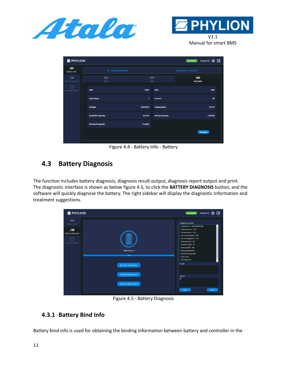



Manual for smart BMS

| <b>E</b> PHYLION                       |                           |                      |                        | Atala2020 <del>章</del><br>Connected |  |
|----------------------------------------|---------------------------|----------------------|------------------------|-------------------------------------|--|
| $\overline{mn}$<br><b>Battery Info</b> | SN: AIJEBG4AS04F0466      |                      |                        | <b>Manufacture: PHYLION</b>         |  |
| €<br><b>Battery Diagnosis</b>          | (iiii)<br>CELL            | (iiii)<br><b>BMS</b> |                        | $\overline{1}$<br><b>BATTERY</b>    |  |
| C5<br>Firmware Update                  | SOH                       | 100%                 | soc                    | 60%                                 |  |
|                                        | <b>Cycle times</b>        | ĩ.                   | Current                | 0A                                  |  |
|                                        | Voltage                   | 38218mV              | <b>Temperature</b>     | 22,9°C                              |  |
|                                        | <b>Available Capacity</b> | 6,61Ah               | <b>Rating Capacity</b> | 11,02Ah                             |  |
|                                        | <b>Nominal Capacity</b>   | 11,60Ah              |                        |                                     |  |
|                                        |                           |                      |                        | <b>Connect</b>                      |  |

Figure 4.4 - Battery Info - Battery

## <span id="page-10-0"></span>**4.3 Battery Diagnosis**

The function includes battery diagnosis, diagnosis result output, diagnosis report output and print. The diagnostic interface is shown as below figure 4.5, to click the **BATTERY DIAGNOSIS** button, and the software will quickly diagnose the battery. The right sidebar will display the diagnostic information and treatment suggestions.



Figure 4.5 - Battery Diagnosis

#### <span id="page-10-1"></span>**4.3.1 Battery Bind Info**

Battery bind info is used for obtaining the binding information between battery and controller in the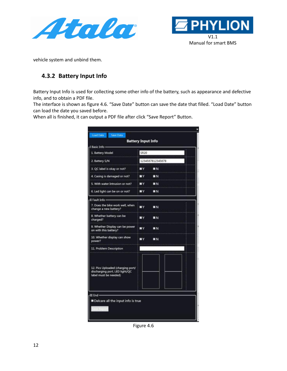



vehicle system and unbind them.

#### <span id="page-11-0"></span>**4.3.2 Battery Input Info**

Battery Input Info is used for collecting some other info of the battery, such as appearance and defective info, and to obtain a PDF file.

The interface is shown as figure 4.6. "Save Date" button can save the date that filled. "Load Date" button can load the date you saved before.

When all is finished, it can output a PDF file after click "Save Report" Button.

| 1. Battery Model                                                                              | <b>SR20</b> |                  |
|-----------------------------------------------------------------------------------------------|-------------|------------------|
|                                                                                               |             |                  |
| 2. Battery S/N                                                                                |             | 1234567812345678 |
| 3. QC label is okay or not?                                                                   | шv          | <b>BN</b>        |
| 4. Casing is damaged or not?                                                                  | πγ          | EN               |
| 5. With water Intrusion or not?                                                               | шY          | <b>NN</b>        |
| 6. Led light can be on or not?                                                                | <b>EI</b> Y | EN               |
| II Fault Info -                                                                               |             |                  |
| 7. Does the bike work well, when<br>change a new battery?                                     | ∎ν          | ■∾               |
| 8. Whether battery can be<br>charged?                                                         | шv          | <b>EN</b>        |
| 9. Whether Display can be power<br>on with this battery?                                      | ∎∨          | EN               |
| 10. Whether display can show<br>power?                                                        | ■∨          | EN               |
| 11. Problem Description                                                                       |             |                  |
| 12. Pics Uploaded (charging port/<br>discharging port, LED light/QC<br>label must be needed). |             |                  |
|                                                                                               |             |                  |

Figure 4.6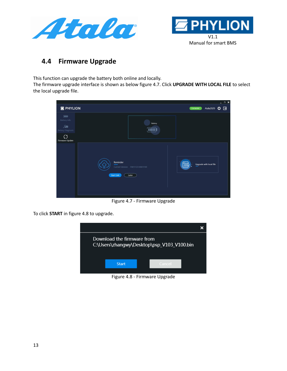



#### <span id="page-12-0"></span>**4.4 Firmware Upgrade**

This function can upgrade the battery both online and locally.

The firmware upgrade interface is shown as below figure 4.7. Click **UPGRADE WITH LOCAL FILE** to select the local upgrade file.



Figure 4.7 - Firmware Upgrade

To click **START** in figure 4.8 to upgrade.



Figure 4.8 - Firmware Upgrade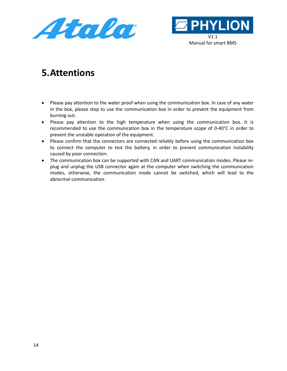



# <span id="page-13-0"></span>**5.Attentions**

- Please pay attention to the water proof when using the communication box. In case of any water in the box, please stop to use the communication box in order to prevent the equipment from burning out.
- Please pay attention to the high temperature when using the communication box. It is recommended to use the communication box in the temperature scope of 0-40°C in order to prevent the unstable operation of the equipment.
- Please confirm that the connectors are connected reliably before using the communication box to connect the computer to test the battery, in order to prevent communication instability caused by poor connection.
- The communication box can be supported with CAN and UART communication modes. Please replug and unplug the USB connector again at the computer when switching the communication modes, otherwise, the communication mode cannot be switched, which will lead to the abnormal communication.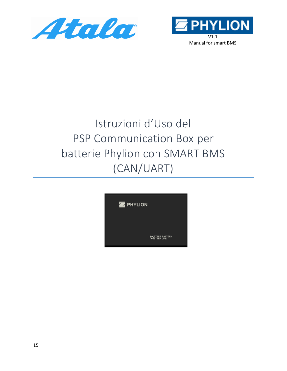



# Istruzioni d'Uso del PSP Communication Box per batterie Phylion con SMART BMS (CAN/UART)

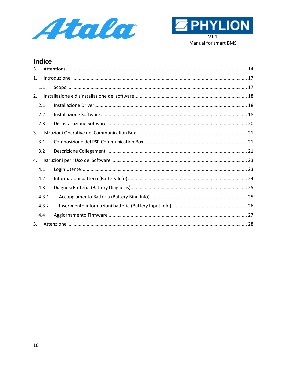



#### **Indice**

| 5.             |       |  |
|----------------|-------|--|
| $\mathbf{1}$ . |       |  |
| 1.1            |       |  |
| 2.             |       |  |
| 2.1            |       |  |
| 2.2            |       |  |
| 2.3            |       |  |
| 3.             |       |  |
| 3.1            |       |  |
| 3.2            |       |  |
| 4.             |       |  |
| 4.1            |       |  |
| 4.2            |       |  |
| 4.3            |       |  |
|                | 4.3.1 |  |
|                | 4.3.2 |  |
| 4.4            |       |  |
| 5.             |       |  |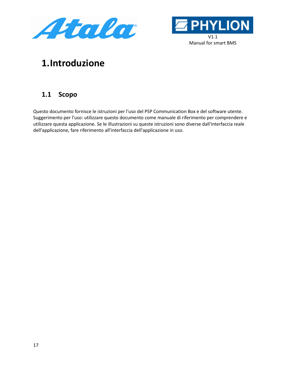



# <span id="page-16-0"></span>**1.Introduzione**

## <span id="page-16-1"></span>**1.1 Scopo**

Questo documento fornisce le istruzioni per l'uso del PSP Communication Box e del software utente. Suggerimento per l'uso: utilizzare questo documento come manuale di riferimento per comprendere e utilizzare questa applicazione. Se le illustrazioni su queste istruzioni sono diverse dall'interfaccia reale dell'applicazione, fare riferimento all'interfaccia dell'applicazione in uso.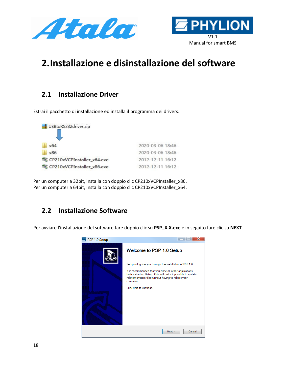



# <span id="page-17-0"></span>**2.Installazione e disinstallazione del software**

#### <span id="page-17-1"></span>**2.1 Installazione Driver**

Estrai il pacchetto di installazione ed installa il programma dei drivers.



Per un computer a 32bit, installa con doppio clic CP210xVCPInstaller\_x86. Per un computer a 64bit, installa con doppio clic CP210xVCPInstaller\_x64.

## <span id="page-17-2"></span>**2.2 Installazione Software**

Per avviare l'installazione del software fare doppio clic su **PSP\_X.X.exe** e in seguito fare clic su **NEXT**

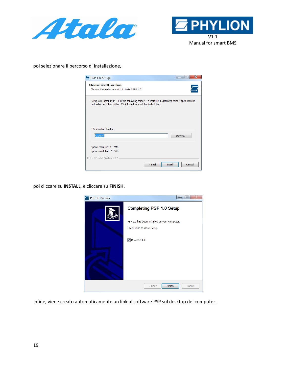



poi selezionare il percorso di installazione,

| $\blacksquare$ PSP 1.0 Setup                                                                                                                                              |                   |
|---------------------------------------------------------------------------------------------------------------------------------------------------------------------------|-------------------|
| <b>Choose Install Location</b><br>Choose the folder in which to install PSP 1.0.                                                                                          |                   |
| Setup will install PSP 1.0 in the following folder. To install in a different folder, click Browse<br>and select another folder. Click Install to start the installation. |                   |
| <b>Destination Folder</b><br>C:\PSP\                                                                                                                                      | Browse            |
| Space required: 11.2MB<br>Space available: 70.5GB<br>Nullsoft Install System v3.0                                                                                         |                   |
| $<$ Back                                                                                                                                                                  | Cancel<br>Install |

poi cliccare su **INSTALL**, e cliccare su **FINISH**.



Infine, viene creato automaticamente un link al software PSP sul desktop del computer.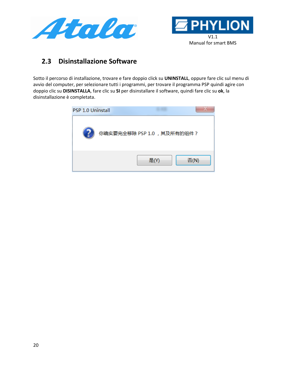



### <span id="page-19-0"></span>**2.3 Disinstallazione Software**

Sotto il percorso di installazione, trovare e fare doppio click su **UNINSTALL**, oppure fare clic sul menu di avvio del computer, per selezionare tutti i programmi, per trovare il programma PSP quindi agire con doppio clic su **DISINSTALLA**, fare clic su **SI** per disinstallare il software, quindi fare clic su **ok**, la disinstallazione è completata.

| <b>PSP 1.0 Uninstall</b> |                            |      |      |
|--------------------------|----------------------------|------|------|
|                          | 你确实要完全移除 PSP 1.0, 其及所有的组件? |      |      |
|                          |                            | 是(Y) | 否(N) |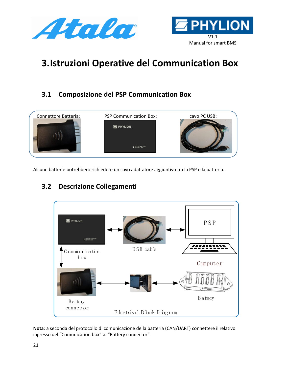



# <span id="page-20-0"></span>**3.Istruzioni Operative del Communication Box**

# <span id="page-20-1"></span>**3.1 Composizione del PSP Communication Box**



Alcune batterie potrebbero richiedere un cavo adattatore aggiuntivo tra la PSP e la batteria.

# <span id="page-20-2"></span>**3.2 Descrizione Collegamenti**



**Nota**: a seconda del protocollo di comunicazione della batteria (CAN/UART) connettere il relativo ingresso del "Comunication box" al "Battery connector".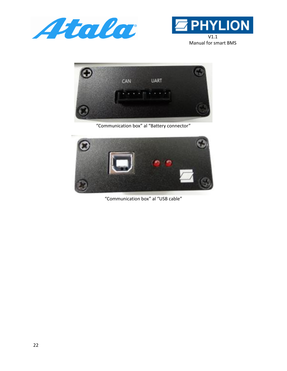





"Communication box" al "Battery connector"



"Communication box" al "USB cable"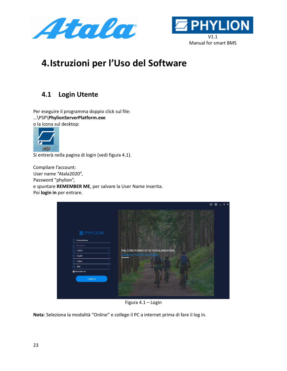



# <span id="page-22-0"></span>**4.Istruzioni per l'Uso del Software**

## <span id="page-22-1"></span>**4.1 Login Utente**

Per eseguire il programma doppio click sul file: …\PSP\**PhylionServerPlatform.exe** o la icona sul desktop:



Si entrerà nella pagina di login (vedi figura 4.1).

Compilare l'account: User name "Atala2020", Password "phylion", e spuntare **REMEMBER ME**, per salvare la User Name inserita. Poi **login in** per entrare.

|                                                                | $   \times$<br>$\circ$<br>$\circ$                                |
|----------------------------------------------------------------|------------------------------------------------------------------|
| <b>E</b> PHYLION<br>(8)<br>PhylionBattery<br><b>A</b> Password |                                                                  |
| 圇<br>COM11                                                     | THE CORE POWER OF EV POPULARIZATION<br>LOGIN IN THE PSP PLATFORM |
| ⊕<br>English                                                   |                                                                  |
| ₿<br>Online                                                    |                                                                  |
| 8 Bike                                                         |                                                                  |
| Remember me                                                    |                                                                  |
| Login in                                                       |                                                                  |

Figura 4.1 – Login

**Nota**: Seleziona la modalità "Online" e college il PC a internet prima di fare il log in.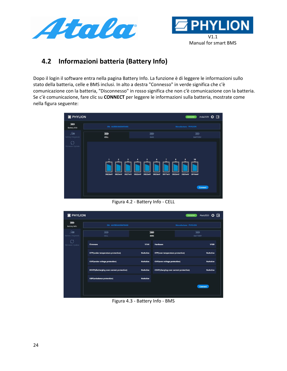



# <span id="page-23-0"></span>**4.2 Informazioni batteria (Battery Info)**

Dopo il login il software entra nella pagina Battery Info. La funzione è di leggere le informazioni sullo stato della batteria, celle e BMS inclusi. In alto a destra "Connesso" in verde significa che c'è comunicazione con la batteria, "Disconnesso" in rosso significa che non c'è comunicazione con la batteria. Se c'è comunicazione, fare clic su **CONNECT** per leggere le informazioni sulla batteria, mostrate come nella figura seguente:



Figura 4.2 - Battery Info - CELL

| <b>E</b> PHYLION                            |                                           |                               |                                               | Atala2020<br>Connected                      | B |
|---------------------------------------------|-------------------------------------------|-------------------------------|-----------------------------------------------|---------------------------------------------|---|
| $\overline{nm}$<br><b>Battery Info</b>      | SN: AIJEBG4AS04F0466                      |                               |                                               | <b>Manufacture: PHYLION</b>                 |   |
| $\mathcal{Q}$ m<br><b>Battery Diagnosis</b> | $\overline{mm}$<br>CELL                   | $\overline{mn}$<br><b>BMS</b> |                                               | $\overline{\mathfrak{m}}$<br><b>BATTERY</b> |   |
| C<br>Firmware Update                        | <b>Firmware</b>                           | <b>V144</b>                   | <b>Hardware</b>                               | V100                                        |   |
|                                             | UTP(under temperature protection)         | <b>NoActive</b>               | OTP(over temperature protection)              | <b>NoActive</b>                             |   |
|                                             | <b>UVP(under voltage protection)</b>      | <b>NoActive</b>               | <b>OVP(over voltage protection)</b>           | <b>NoActive</b>                             |   |
|                                             | DOCP(discharging over current protection) | <b>NoActive</b>               | <b>COCP(charging over current protection)</b> | <b>NoActive</b>                             |   |
|                                             | <b>UBP(unbalance protection)</b>          | <b>NoActive</b>               |                                               |                                             |   |
|                                             |                                           |                               |                                               | <b>Connect</b>                              |   |
|                                             |                                           |                               |                                               |                                             |   |

Figura 4.3 - Battery Info - BMS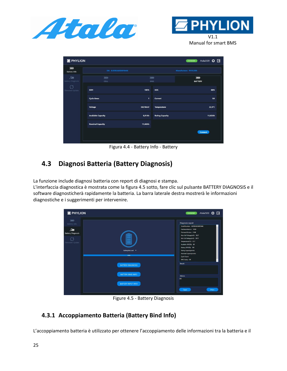



Manual for smart BMS

| 60%     |
|---------|
| 0A      |
| 22,9°C  |
| 11,02Ah |
|         |
|         |
|         |

Figura 4.4 - Battery Info - Battery

# <span id="page-24-0"></span>**4.3 Diagnosi Batteria (Battery Diagnosis)**

La funzione include diagnosi batteria con report di diagnosi e stampa.

L'interfaccia diagnostica è mostrata come la figura 4.5 sotto, fare clic sul pulsante BATTERY DIAGNOSIS e il software diagnosticherà rapidamente la batteria. La barra laterale destra mostrerà le informazioni diagnostiche e i suggerimenti per intervenire.

| <b>E</b> PHYLION                        |                           | Atala2020 $\bullet$ $\bullet$ $\rightarrow$<br>Connected                                                       |  |
|-----------------------------------------|---------------------------|----------------------------------------------------------------------------------------------------------------|--|
| $\overline{\mathbf{u}}$<br>Battery Info |                           | Diagnosis report<br>Serial Number: AUEBG4AS04F0466                                                             |  |
| 風<br><b>Battery Diagnosis</b>           |                           | HardwareVersion: V100<br>FirmwareVersion: V144                                                                 |  |
| Firmware Update                         |                           | Max Cell Voltage(mV): 3827<br>Min Cell Voltage(mV): 3815<br>Temperature("C): 23,7<br>Available SOC(%): 60      |  |
|                                         | BatteryNoLoad v<br>100%   | Battery SOH(%): 100<br>Rating Capacity(mAh):<br>Nominal Capacity(mAh):<br>Cycle Count<br><b>BMS Status: OK</b> |  |
|                                         | <b>BATTERY DIAGNOSIS</b>  | <b>Result:</b>                                                                                                 |  |
|                                         | <b>BATTERY BIND INFO</b>  | Advice:<br>OK                                                                                                  |  |
|                                         | <b>BATTERY INPUT INFO</b> |                                                                                                                |  |
|                                         |                           | Print<br>Save                                                                                                  |  |

Figure 4.5 - Battery Diagnosis

#### <span id="page-24-1"></span>**4.3.1 Accoppiamento Batteria (Battery Bind Info)**

L'accoppiamento batteria è utilizzato per ottenere l'accoppiamento delle informazioni tra la batteria e il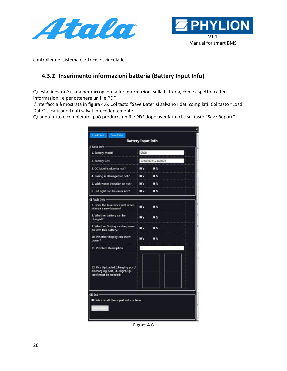



controller nel sistema elettrico e svincolarle.

#### <span id="page-25-0"></span>**4.3.2 Inserimento informazioni batteria (Battery Input Info)**

Questa finestra è usata per raccogliere alter informazioni sulla batteria, come aspetto o alter informazioni, e per ottenere un file PDF.

L'interfaccia è mostrata in figura 4.6. Col tasto "Save Date" si salvano I dati compilati. Col tasto "Load Date" si caricano I dati salvati precedentemente.

Quando tutto è completato, può produrre un file PDF dopo aver fatto clic sul tasto "Save Report".

| 1. Battery Model                                                                             | <b>SR20</b>      |           |  |
|----------------------------------------------------------------------------------------------|------------------|-----------|--|
| 2. Battery S/N                                                                               | 1234567812345678 |           |  |
| 3. QC label is okay or not?                                                                  | πγ               | ■Ν        |  |
| 4. Casing is damaged or not?                                                                 | πγ               | EN        |  |
| 5. With water Intrusion or not?                                                              | ◼▾               | EN        |  |
| 6. Led light can be on or not?                                                               | ШY               | EN        |  |
| II Fault Info -                                                                              |                  |           |  |
| 7. Does the bike work well, when<br>change a new battery?                                    | ■ν               | ■N        |  |
| 8. Whether battery can be<br>charged?                                                        | шv               | ΠN        |  |
| 9. Whether Display can be power<br>on with this battery?                                     | 3 V              | EN        |  |
| 10. Whether display can show<br>power?                                                       | πν               | <b>BN</b> |  |
| 11. Problem Description                                                                      |                  |           |  |
| 12. Pics Uploaded (charging port/<br>discharging port, LED light/QC<br>label must be needed) |                  |           |  |
|                                                                                              |                  |           |  |
| III End -                                                                                    |                  |           |  |

Figure 4.6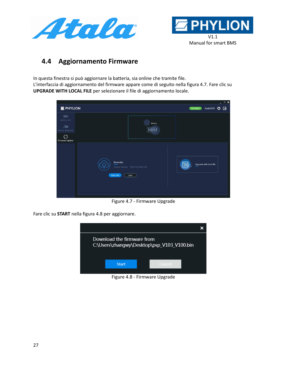



### <span id="page-26-0"></span>**4.4 Aggiornamento Firmware**

In questa finestra si può aggiornare la batteria, sia online che tramite file. L'interfaccia di aggiornamento del firmware appare come di seguito nella figura 4.7. Fare clic su **UPGRADE WITH LOCAL FILE** per selezionare il file di aggiornamento locale.



Figure 4.7 - Firmware Upgrade

Fare clic su **START** nella figura 4.8 per aggiornare.



Figure 4.8 - Firmware Upgrade